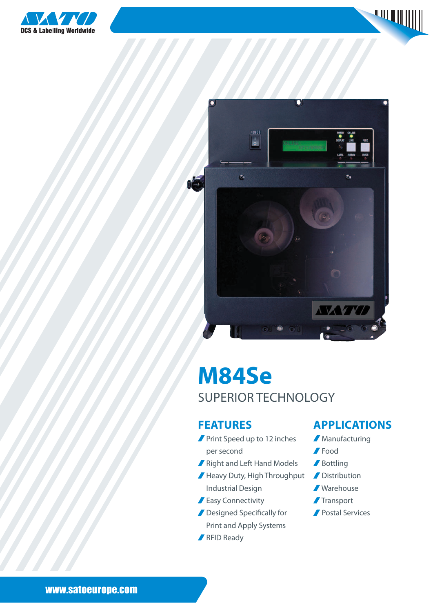





# **M84Se** superior technology

#### **FEATURES**

- **Print Speed up to 12 inches** per second
- Right and Left Hand Models
- Heavy Duty, High Throughput Industrial Design
- **Easy Connectivity**
- **Designed Specifically for** Print and Apply Systems
- **RFID Ready**

#### **applications**

- **Manufacturing**
- Food
- **/** Bottling
- **Distribution**
- Warehouse
- **Transport**
- **Postal Services**

www.satoeurope.com